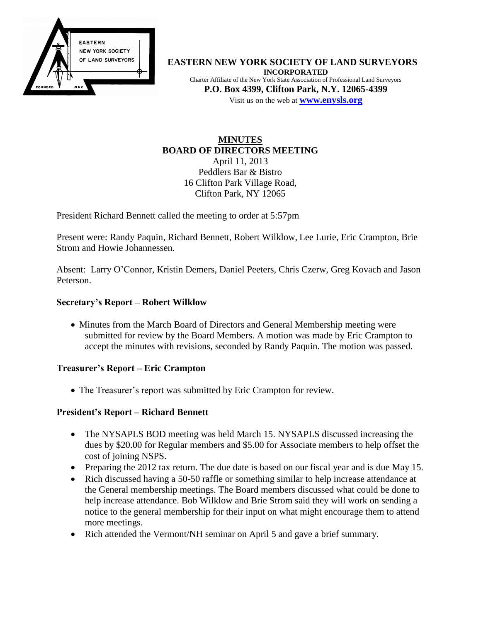

**EASTERN NEW YORK SOCIETY OF LAND SURVEYORS INCORPORATED** Charter Affiliate of the New York State Association of Professional Land Surveyors **P.O. Box 4399, Clifton Park, N.Y. 12065-4399** Visit us on the web at **[www.e](http://www.enysls.org/)nysls.org**

## **MINUTES BOARD OF DIRECTORS MEETING** April 11, 2013 Peddlers Bar & Bistro 16 Clifton Park Village Road, Clifton Park, NY 12065

President Richard Bennett called the meeting to order at 5:57pm

Present were: Randy Paquin, Richard Bennett, Robert Wilklow, Lee Lurie, Eric Crampton, Brie Strom and Howie Johannessen.

Absent: Larry O'Connor, Kristin Demers, Daniel Peeters, Chris Czerw, Greg Kovach and Jason Peterson.

## **Secretary's Report – Robert Wilklow**

• Minutes from the March Board of Directors and General Membership meeting were submitted for review by the Board Members. A motion was made by Eric Crampton to accept the minutes with revisions, seconded by Randy Paquin. The motion was passed.

### **Treasurer's Report – Eric Crampton**

• The Treasurer's report was submitted by Eric Crampton for review.

## **President's Report – Richard Bennett**

- The NYSAPLS BOD meeting was held March 15. NYSAPLS discussed increasing the dues by \$20.00 for Regular members and \$5.00 for Associate members to help offset the cost of joining NSPS.
- Preparing the 2012 tax return. The due date is based on our fiscal year and is due May 15.
- Rich discussed having a 50-50 raffle or something similar to help increase attendance at the General membership meetings. The Board members discussed what could be done to help increase attendance. Bob Wilklow and Brie Strom said they will work on sending a notice to the general membership for their input on what might encourage them to attend more meetings.
- Rich attended the Vermont/NH seminar on April 5 and gave a brief summary.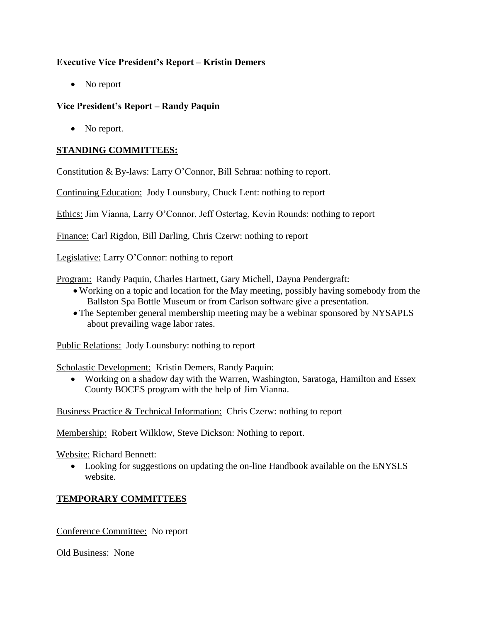# **Executive Vice President's Report – Kristin Demers**

• No report

# **Vice President's Report – Randy Paquin**

• No report.

# **STANDING COMMITTEES:**

Constitution & By-laws: Larry O'Connor, Bill Schraa: nothing to report.

Continuing Education: Jody Lounsbury, Chuck Lent: nothing to report

Ethics: Jim Vianna, Larry O'Connor, Jeff Ostertag, Kevin Rounds: nothing to report

Finance: Carl Rigdon, Bill Darling, Chris Czerw: nothing to report

Legislative: Larry O'Connor: nothing to report

Program: Randy Paquin, Charles Hartnett, Gary Michell, Dayna Pendergraft:

- Working on a topic and location for the May meeting, possibly having somebody from the Ballston Spa Bottle Museum or from Carlson software give a presentation.
- The September general membership meeting may be a webinar sponsored by NYSAPLS about prevailing wage labor rates.

Public Relations: Jody Lounsbury: nothing to report

Scholastic Development: Kristin Demers, Randy Paquin:

 Working on a shadow day with the Warren, Washington, Saratoga, Hamilton and Essex County BOCES program with the help of Jim Vianna.

Business Practice & Technical Information: Chris Czerw: nothing to report

Membership: Robert Wilklow, Steve Dickson: Nothing to report.

Website: Richard Bennett:

 Looking for suggestions on updating the on-line Handbook available on the ENYSLS website.

# **TEMPORARY COMMITTEES**

Conference Committee: No report

Old Business: None